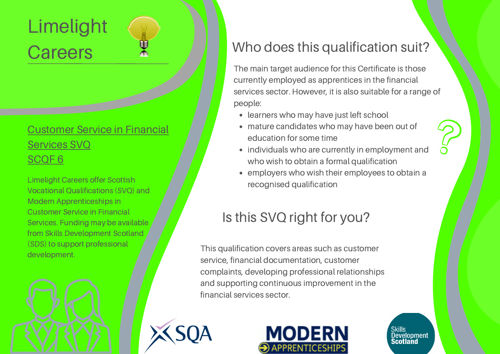# Limelight **Careers**

#### [Customer](https://www.sqa.org.uk/sqa/100612.html) Service in Financial Services SVQ [SCQF](https://www.sqa.org.uk/sqa/100612.html) 6

Limelight Careers offer Scottish Vocational Qualifications (SVQ) and Modern Apprenticeships in Customer Service in Financial Services. Funding may be available from Skills Development Scotland (SDS) to support professional development.

### Who does this qualification suit?

The main target audience for this Certificate is those currently employed as apprentices in the financial services sector. However, it is also suitable for a range of people:

- learners who may have just left school
- mature candidates who may have been out of education for some time
- individuals who are currently in employment and who wish to obtain a formal qualification
- employers who wish their employees to obtain a recognised qualification

## Is this SVQ right for you?

This qualification covers areas such as customer service, financial documentation, customer complaints, developing professional relationships and supporting continuous improvement in the financial services sector.





Skills<br>Development Scotland